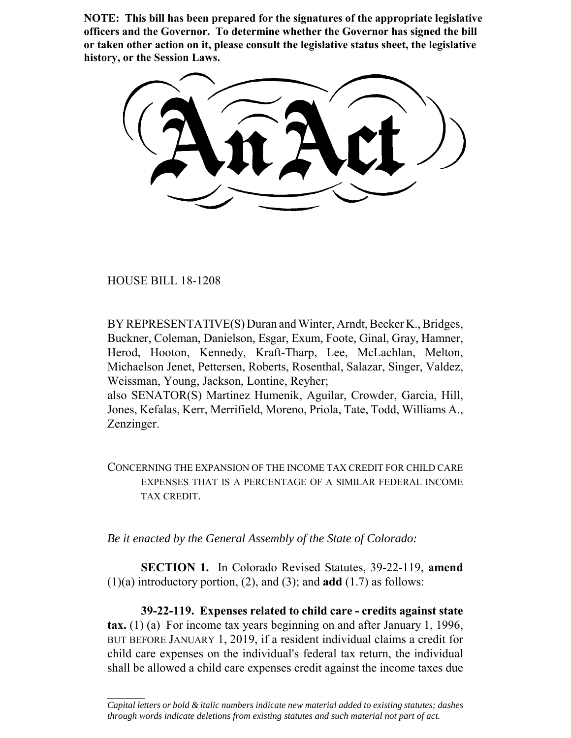**NOTE: This bill has been prepared for the signatures of the appropriate legislative officers and the Governor. To determine whether the Governor has signed the bill or taken other action on it, please consult the legislative status sheet, the legislative history, or the Session Laws.**

HOUSE BILL 18-1208

 $\frac{1}{2}$ 

BY REPRESENTATIVE(S) Duran and Winter, Arndt, Becker K., Bridges, Buckner, Coleman, Danielson, Esgar, Exum, Foote, Ginal, Gray, Hamner, Herod, Hooton, Kennedy, Kraft-Tharp, Lee, McLachlan, Melton, Michaelson Jenet, Pettersen, Roberts, Rosenthal, Salazar, Singer, Valdez, Weissman, Young, Jackson, Lontine, Reyher;

also SENATOR(S) Martinez Humenik, Aguilar, Crowder, Garcia, Hill, Jones, Kefalas, Kerr, Merrifield, Moreno, Priola, Tate, Todd, Williams A., Zenzinger.

CONCERNING THE EXPANSION OF THE INCOME TAX CREDIT FOR CHILD CARE EXPENSES THAT IS A PERCENTAGE OF A SIMILAR FEDERAL INCOME TAX CREDIT.

*Be it enacted by the General Assembly of the State of Colorado:*

**SECTION 1.** In Colorado Revised Statutes, 39-22-119, **amend** (1)(a) introductory portion, (2), and (3); and **add** (1.7) as follows:

**39-22-119. Expenses related to child care - credits against state tax.** (1) (a) For income tax years beginning on and after January 1, 1996, BUT BEFORE JANUARY 1, 2019, if a resident individual claims a credit for child care expenses on the individual's federal tax return, the individual shall be allowed a child care expenses credit against the income taxes due

*Capital letters or bold & italic numbers indicate new material added to existing statutes; dashes through words indicate deletions from existing statutes and such material not part of act.*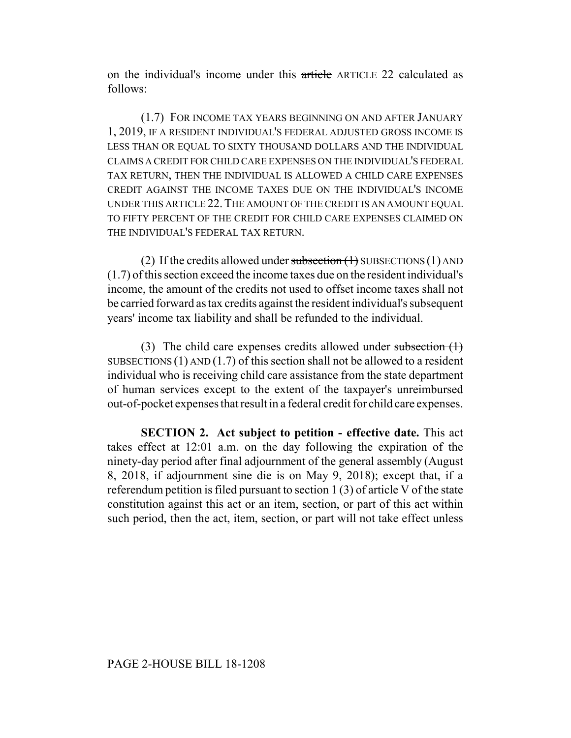on the individual's income under this article ARTICLE 22 calculated as follows:

(1.7) FOR INCOME TAX YEARS BEGINNING ON AND AFTER JANUARY 1, 2019, IF A RESIDENT INDIVIDUAL'S FEDERAL ADJUSTED GROSS INCOME IS LESS THAN OR EQUAL TO SIXTY THOUSAND DOLLARS AND THE INDIVIDUAL CLAIMS A CREDIT FOR CHILD CARE EXPENSES ON THE INDIVIDUAL'S FEDERAL TAX RETURN, THEN THE INDIVIDUAL IS ALLOWED A CHILD CARE EXPENSES CREDIT AGAINST THE INCOME TAXES DUE ON THE INDIVIDUAL'S INCOME UNDER THIS ARTICLE 22.THE AMOUNT OF THE CREDIT IS AN AMOUNT EQUAL TO FIFTY PERCENT OF THE CREDIT FOR CHILD CARE EXPENSES CLAIMED ON THE INDIVIDUAL'S FEDERAL TAX RETURN.

(2) If the credits allowed under subsection  $(1)$  SUBSECTIONS  $(1)$  AND (1.7) of this section exceed the income taxes due on the resident individual's income, the amount of the credits not used to offset income taxes shall not be carried forward as tax credits against the resident individual's subsequent years' income tax liability and shall be refunded to the individual.

(3) The child care expenses credits allowed under subsection  $(1)$ SUBSECTIONS  $(1)$  AND  $(1.7)$  of this section shall not be allowed to a resident individual who is receiving child care assistance from the state department of human services except to the extent of the taxpayer's unreimbursed out-of-pocket expenses that result in a federal credit for child care expenses.

**SECTION 2. Act subject to petition - effective date.** This act takes effect at 12:01 a.m. on the day following the expiration of the ninety-day period after final adjournment of the general assembly (August 8, 2018, if adjournment sine die is on May 9, 2018); except that, if a referendum petition is filed pursuant to section 1 (3) of article V of the state constitution against this act or an item, section, or part of this act within such period, then the act, item, section, or part will not take effect unless